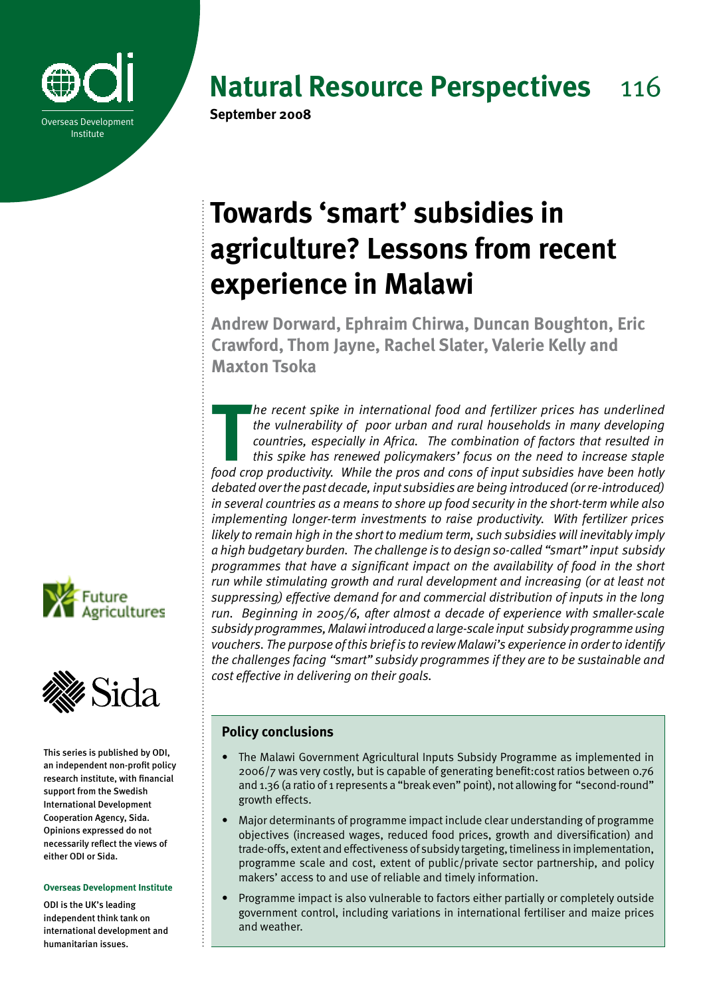

# **Natural Resource Perspectives** 116

# **Towards 'smart' subsidies in agriculture? Lessons from recent experience in Malawi**

**Andrew Dorward, Ephraim Chirwa, Duncan Boughton, Eric Crawford, Thom Jayne, Rachel Slater, Valerie Kelly and Maxton Tsoka**

**The recent spike in international food and fertilizer prices has underlined the vulnerability of poor urban and rural households in many developing countries, especially in Africa. The combination of factors that resulted** *he recent spike in international food and fertilizer prices has underlined the vulnerability of poor urban and rural households in many developing countries, especially in Africa. The combination of factors that resulted in this spike has renewed policymakers' focus on the need to increase staple debated over the past decade, input subsidies are being introduced (or re-introduced) in several countries as a means to shore up food security in the short-term while also implementing longer-term investments to raise productivity. With fertilizer prices likely to remain high in the short to medium term, such subsidies will inevitably imply a high budgetary burden. The challenge is to design so-called "smart" input subsidy programmes that have a significant impact on the availability of food in the short run while stimulating growth and rural development and increasing (or at least not suppressing) effective demand for and commercial distribution of inputs in the long run. Beginning in 2005/6, after almost a decade of experience with smaller-scale subsidy programmes, Malawi introduced a large-scale input subsidy programme using vouchers. The purpose of this brief is to review Malawi's experience in order to identify the challenges facing "smart" subsidy programmes if they are to be sustainable and cost effective in delivering on their goals.*



This series is published by ODI, an independent non-profit policy research institute, with financial support from the Swedish International Development Cooperation Agency, Sida. Opinions expressed do not necessarily reflect the views of either ODI or Sida.

#### **Overseas Development Institute**

ODI is the UK's leading independent think tank on international development and humanitarian issues.

# **Policy conclusions**

- The Malawi Government Agricultural Inputs Subsidy Programme as implemented in 2006/7 was very costly, but is capable of generating benefit:cost ratios between 0.76 and 1.36 (a ratio of 1 represents a "break even" point), not allowing for "second-round" growth effects.
- Major determinants of programme impact include clear understanding of programme objectives (increased wages, reduced food prices, growth and diversification) and trade-offs, extent and effectiveness of subsidy targeting, timeliness in implementation, programme scale and cost, extent of public/private sector partnership, and policy makers' access to and use of reliable and timely information.
- Programme impact is also vulnerable to factors either partially or completely outside government control, including variations in international fertiliser and maize prices and weather.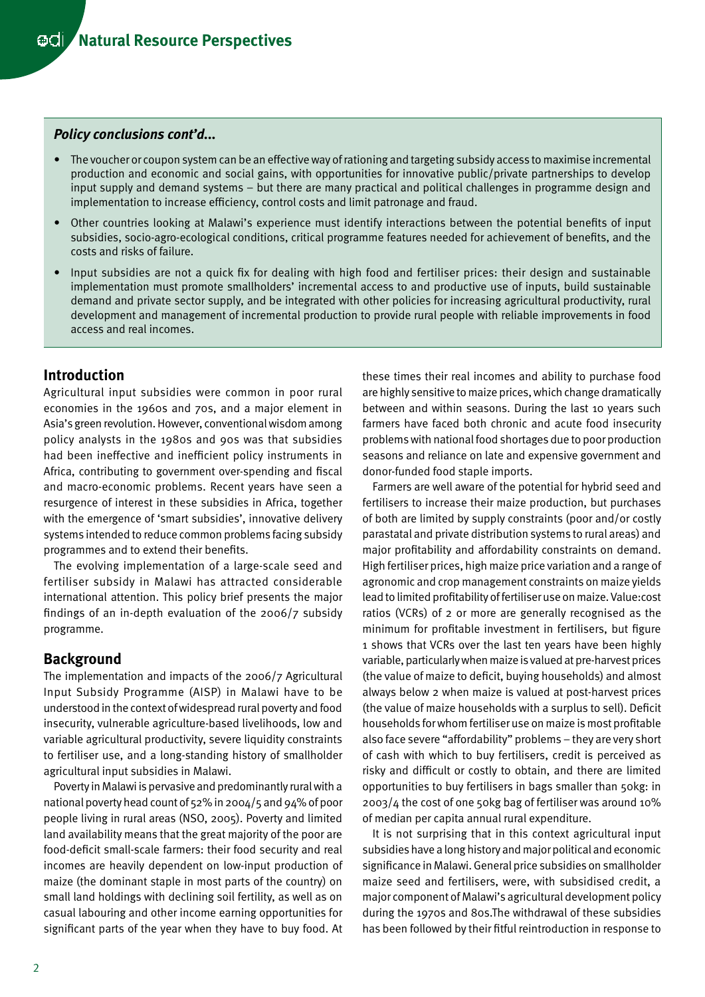#### *Policy conclusions cont'd...*

- • The voucher or coupon system can be an effective way of rationing and targeting subsidy access to maximise incremental production and economic and social gains, with opportunities for innovative public/private partnerships to develop input supply and demand systems – but there are many practical and political challenges in programme design and implementation to increase efficiency, control costs and limit patronage and fraud.
- Other countries looking at Malawi's experience must identify interactions between the potential benefits of input subsidies, socio-agro-ecological conditions, critical programme features needed for achievement of benefits, and the costs and risks of failure.
- Input subsidies are not a quick fix for dealing with high food and fertiliser prices: their design and sustainable implementation must promote smallholders' incremental access to and productive use of inputs, build sustainable demand and private sector supply, and be integrated with other policies for increasing agricultural productivity, rural development and management of incremental production to provide rural people with reliable improvements in food access and real incomes.

## **Introduction**

Agricultural input subsidies were common in poor rural economies in the 1960s and 70s, and a major element in Asia's green revolution. However, conventional wisdom among policy analysts in the 1980s and 90s was that subsidies had been ineffective and inefficient policy instruments in Africa, contributing to government over-spending and fiscal and macro-economic problems. Recent years have seen a resurgence of interest in these subsidies in Africa, together with the emergence of 'smart subsidies', innovative delivery systems intended to reduce common problems facing subsidy programmes and to extend their benefits.

The evolving implementation of a large-scale seed and fertiliser subsidy in Malawi has attracted considerable international attention. This policy brief presents the major findings of an in-depth evaluation of the 2006/7 subsidy programme.

### **Background**

The implementation and impacts of the 2006/7 Agricultural Input Subsidy Programme (AISP) in Malawi have to be understood in the context of widespread rural poverty and food insecurity, vulnerable agriculture-based livelihoods, low and variable agricultural productivity, severe liquidity constraints to fertiliser use, and a long-standing history of smallholder agricultural input subsidies in Malawi.

Poverty in Malawi is pervasive and predominantly rural with a national poverty head count of 52% in 2004/5 and 94% of poor people living in rural areas (NSO, 2005). Poverty and limited land availability means that the great majority of the poor are food-deficit small-scale farmers: their food security and real incomes are heavily dependent on low-input production of maize (the dominant staple in most parts of the country) on small land holdings with declining soil fertility, as well as on casual labouring and other income earning opportunities for significant parts of the year when they have to buy food. At these times their real incomes and ability to purchase food are highly sensitive to maize prices, which change dramatically between and within seasons. During the last 10 years such farmers have faced both chronic and acute food insecurity problems with national food shortages due to poor production seasons and reliance on late and expensive government and donor-funded food staple imports.

Farmers are well aware of the potential for hybrid seed and fertilisers to increase their maize production, but purchases of both are limited by supply constraints (poor and/or costly parastatal and private distribution systems to rural areas) and major profitability and affordability constraints on demand. High fertiliser prices, high maize price variation and a range of agronomic and crop management constraints on maize yields lead to limited profitability of fertiliser use on maize. Value:cost ratios (VCRs) of 2 or more are generally recognised as the minimum for profitable investment in fertilisers, but figure 1 shows that VCRs over the last ten years have been highly variable, particularly when maize is valued at pre-harvest prices (the value of maize to deficit, buying households) and almost always below 2 when maize is valued at post-harvest prices (the value of maize households with a surplus to sell). Deficit households for whom fertiliser use on maize is most profitable also face severe "affordability" problems – they are very short of cash with which to buy fertilisers, credit is perceived as risky and difficult or costly to obtain, and there are limited opportunities to buy fertilisers in bags smaller than 50kg: in 2003/4 the cost of one 50kg bag of fertiliser was around 10% of median per capita annual rural expenditure.

It is not surprising that in this context agricultural input subsidies have a long history and major political and economic significance in Malawi. General price subsidies on smallholder maize seed and fertilisers, were, with subsidised credit, a major component of Malawi's agricultural development policy during the 1970s and 80s.The withdrawal of these subsidies has been followed by their fitful reintroduction in response to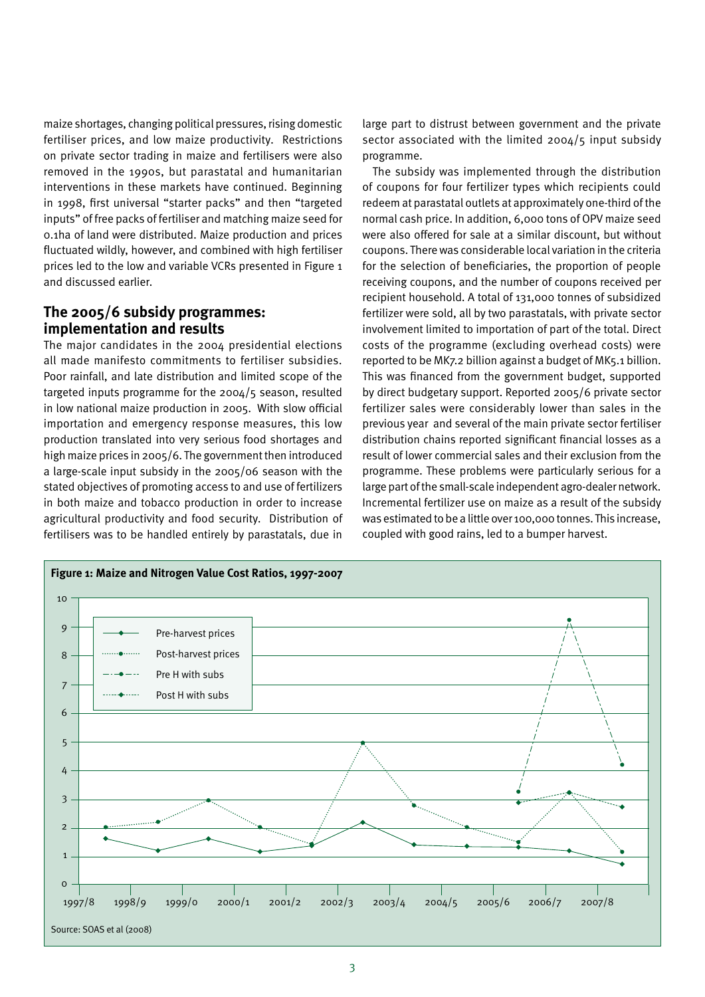maize shortages, changing political pressures, rising domestic fertiliser prices, and low maize productivity. Restrictions on private sector trading in maize and fertilisers were also removed in the 1990s, but parastatal and humanitarian interventions in these markets have continued. Beginning in 1998, first universal "starter packs" and then "targeted inputs" of free packs of fertiliser and matching maize seed for 0.1ha of land were distributed. Maize production and prices fluctuated wildly, however, and combined with high fertiliser prices led to the low and variable VCRs presented in Figure 1 and discussed earlier.

# **The 2005/6 subsidy programmes: implementation and results**

The major candidates in the 2004 presidential elections all made manifesto commitments to fertiliser subsidies. Poor rainfall, and late distribution and limited scope of the targeted inputs programme for the 2004/5 season, resulted in low national maize production in 2005. With slow official importation and emergency response measures, this low production translated into very serious food shortages and high maize prices in 2005/6. The government then introduced a large-scale input subsidy in the 2005/06 season with the stated objectives of promoting access to and use of fertilizers in both maize and tobacco production in order to increase agricultural productivity and food security. Distribution of fertilisers was to be handled entirely by parastatals, due in

large part to distrust between government and the private sector associated with the limited 2004/5 input subsidy programme.

The subsidy was implemented through the distribution of coupons for four fertilizer types which recipients could redeem at parastatal outlets at approximately one-third of the normal cash price. In addition, 6,000 tons of OPV maize seed were also offered for sale at a similar discount, but without coupons. There was considerable local variation in the criteria for the selection of beneficiaries, the proportion of people receiving coupons, and the number of coupons received per recipient household. A total of 131,000 tonnes of subsidized fertilizer were sold, all by two parastatals, with private sector involvement limited to importation of part of the total. Direct costs of the programme (excluding overhead costs) were reported to be MK7.2 billion against a budget of MK5.1 billion. This was financed from the government budget, supported by direct budgetary support. Reported 2005/6 private sector fertilizer sales were considerably lower than sales in the previous year and several of the main private sector fertiliser distribution chains reported significant financial losses as a result of lower commercial sales and their exclusion from the programme. These problems were particularly serious for a large part of the small-scale independent agro-dealer network. Incremental fertilizer use on maize as a result of the subsidy was estimated to be a little over 100,000 tonnes. This increase, coupled with good rains, led to a bumper harvest.

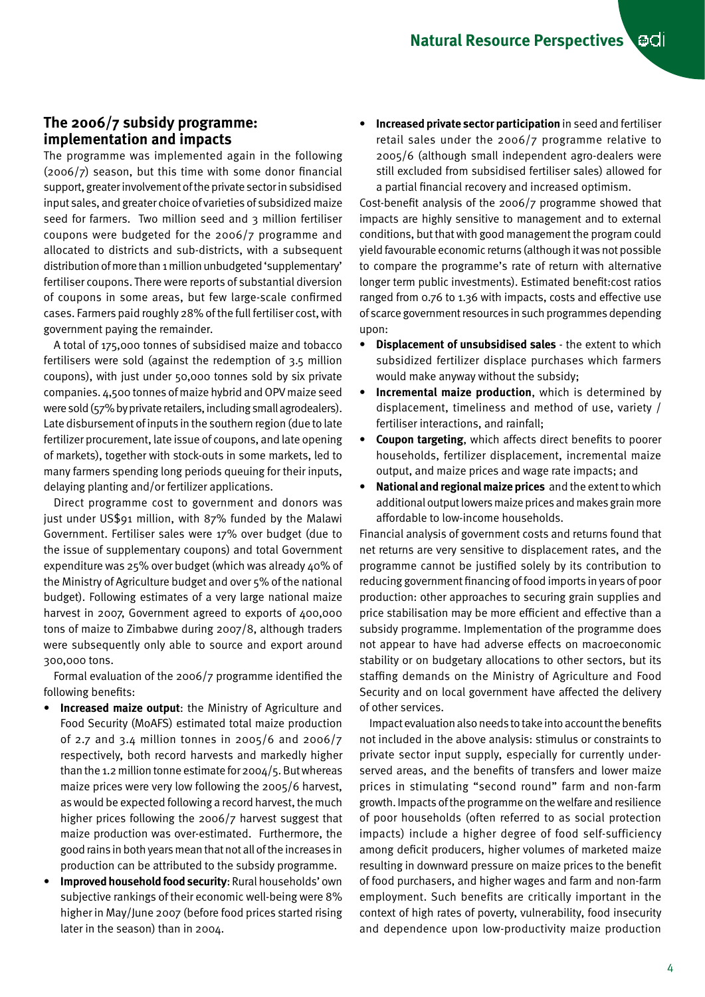# **The 2006/7 subsidy programme: implementation and impacts**

The programme was implemented again in the following (2006/7) season, but this time with some donor financial support, greater involvement of the private sector in subsidised input sales, and greater choice of varieties of subsidized maize seed for farmers. Two million seed and 3 million fertiliser coupons were budgeted for the 2006/7 programme and allocated to districts and sub-districts, with a subsequent distribution of more than 1 million unbudgeted 'supplementary' fertiliser coupons. There were reports of substantial diversion of coupons in some areas, but few large-scale confirmed cases. Farmers paid roughly 28% of the full fertiliser cost, with government paying the remainder.

A total of 175,000 tonnes of subsidised maize and tobacco fertilisers were sold (against the redemption of 3.5 million coupons), with just under 50,000 tonnes sold by six private companies. 4,500 tonnes of maize hybrid and OPV maize seed were sold (57% by private retailers, including small agrodealers). Late disbursement of inputs in the southern region (due to late fertilizer procurement, late issue of coupons, and late opening of markets), together with stock-outs in some markets, led to many farmers spending long periods queuing for their inputs, delaying planting and/or fertilizer applications.

Direct programme cost to government and donors was just under US\$91 million, with 87% funded by the Malawi Government. Fertiliser sales were 17% over budget (due to the issue of supplementary coupons) and total Government expenditure was 25% over budget (which was already 40% of the Ministry of Agriculture budget and over 5% of the national budget). Following estimates of a very large national maize harvest in 2007, Government agreed to exports of 400,000 tons of maize to Zimbabwe during 2007/8, although traders were subsequently only able to source and export around 300,000 tons.

Formal evaluation of the 2006/7 programme identified the following benefits:

- **Increased maize output:** the Ministry of Agriculture and Food Security (MoAFS) estimated total maize production of 2.7 and 3.4 million tonnes in 2005/6 and 2006/7 respectively, both record harvests and markedly higher than the 1.2 million tonne estimate for 2004/5. But whereas maize prices were very low following the 2005/6 harvest, as would be expected following a record harvest, the much higher prices following the 2006/7 harvest suggest that maize production was over-estimated. Furthermore, the good rains in both years mean that not all of the increases in production can be attributed to the subsidy programme.
- **Improved household food security: Rural households' own** subjective rankings of their economic well-being were 8% higher in May/June 2007 (before food prices started rising later in the season) than in 2004.

• **Increased private sector participation** in seed and fertiliser retail sales under the 2006/7 programme relative to 2005/6 (although small independent agro-dealers were still excluded from subsidised fertiliser sales) allowed for a partial financial recovery and increased optimism.

Cost-benefit analysis of the 2006/7 programme showed that impacts are highly sensitive to management and to external conditions, but that with good management the program could yield favourable economic returns (although it was not possible to compare the programme's rate of return with alternative longer term public investments). Estimated benefit:cost ratios ranged from 0.76 to 1.36 with impacts, costs and effective use of scarce government resources in such programmes depending upon:

- • **Displacement of unsubsidised sales** the extent to which subsidized fertilizer displace purchases which farmers would make anyway without the subsidy;
- • **Incremental maize production**, which is determined by displacement, timeliness and method of use, variety / fertiliser interactions, and rainfall;
- • **Coupon targeting**, which affects direct benefits to poorer households, fertilizer displacement, incremental maize output, and maize prices and wage rate impacts; and
- • **National and regional maize prices** and the extent to which additional output lowers maize prices and makes grain more affordable to low-income households.

Financial analysis of government costs and returns found that net returns are very sensitive to displacement rates, and the programme cannot be justified solely by its contribution to reducing government financing of food imports in years of poor production: other approaches to securing grain supplies and price stabilisation may be more efficient and effective than a subsidy programme. Implementation of the programme does not appear to have had adverse effects on macroeconomic stability or on budgetary allocations to other sectors, but its staffing demands on the Ministry of Agriculture and Food Security and on local government have affected the delivery of other services.

Impact evaluation also needs to take into account the benefits not included in the above analysis: stimulus or constraints to private sector input supply, especially for currently underserved areas, and the benefits of transfers and lower maize prices in stimulating "second round" farm and non-farm growth. Impacts of the programme on the welfare and resilience of poor households (often referred to as social protection impacts) include a higher degree of food self-sufficiency among deficit producers, higher volumes of marketed maize resulting in downward pressure on maize prices to the benefit of food purchasers, and higher wages and farm and non-farm employment. Such benefits are critically important in the context of high rates of poverty, vulnerability, food insecurity and dependence upon low-productivity maize production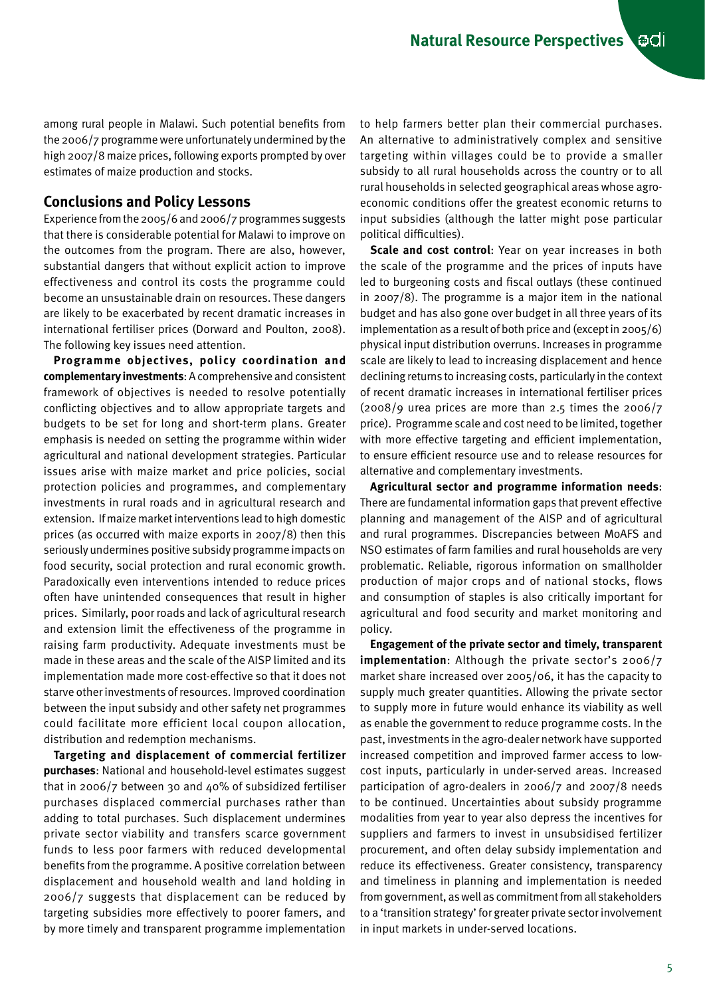among rural people in Malawi. Such potential benefits from the 2006/7 programme were unfortunately undermined by the high 2007/8 maize prices, following exports prompted by over estimates of maize production and stocks.

# **Conclusions and Policy Lessons**

Experience from the 2005/6 and 2006/7 programmes suggests that there is considerable potential for Malawi to improve on the outcomes from the program. There are also, however, substantial dangers that without explicit action to improve effectiveness and control its costs the programme could become an unsustainable drain on resources. These dangers are likely to be exacerbated by recent dramatic increases in international fertiliser prices (Dorward and Poulton, 2008). The following key issues need attention.

**Programme objectives, policy coordination and complementary investments**: A comprehensive and consistent framework of objectives is needed to resolve potentially conflicting objectives and to allow appropriate targets and budgets to be set for long and short-term plans. Greater emphasis is needed on setting the programme within wider agricultural and national development strategies. Particular issues arise with maize market and price policies, social protection policies and programmes, and complementary investments in rural roads and in agricultural research and extension. If maize market interventions lead to high domestic prices (as occurred with maize exports in 2007/8) then this seriously undermines positive subsidy programme impacts on food security, social protection and rural economic growth. Paradoxically even interventions intended to reduce prices often have unintended consequences that result in higher prices. Similarly, poor roads and lack of agricultural research and extension limit the effectiveness of the programme in raising farm productivity. Adequate investments must be made in these areas and the scale of the AISP limited and its implementation made more cost-effective so that it does not starve other investments of resources. Improved coordination between the input subsidy and other safety net programmes could facilitate more efficient local coupon allocation, distribution and redemption mechanisms.

**Targeting and displacement of commercial fertilizer purchases**: National and household-level estimates suggest that in 2006/7 between 30 and 40% of subsidized fertiliser purchases displaced commercial purchases rather than adding to total purchases. Such displacement undermines private sector viability and transfers scarce government funds to less poor farmers with reduced developmental benefits from the programme. A positive correlation between displacement and household wealth and land holding in 2006/7 suggests that displacement can be reduced by targeting subsidies more effectively to poorer famers, and by more timely and transparent programme implementation

to help farmers better plan their commercial purchases. An alternative to administratively complex and sensitive targeting within villages could be to provide a smaller subsidy to all rural households across the country or to all rural households in selected geographical areas whose agroeconomic conditions offer the greatest economic returns to input subsidies (although the latter might pose particular political difficulties).

**Scale and cost control**: Year on year increases in both the scale of the programme and the prices of inputs have led to burgeoning costs and fiscal outlays (these continued in 2007/8). The programme is a major item in the national budget and has also gone over budget in all three years of its implementation as a result of both price and (except in 2005/6) physical input distribution overruns. Increases in programme scale are likely to lead to increasing displacement and hence declining returns to increasing costs, particularly in the context of recent dramatic increases in international fertiliser prices  $(2008/g$  urea prices are more than 2.5 times the 2006/7 price). Programme scale and cost need to be limited, together with more effective targeting and efficient implementation, to ensure efficient resource use and to release resources for alternative and complementary investments.

**Agricultural sector and programme information needs**: There are fundamental information gaps that prevent effective planning and management of the AISP and of agricultural and rural programmes. Discrepancies between MoAFS and NSO estimates of farm families and rural households are very problematic. Reliable, rigorous information on smallholder production of major crops and of national stocks, flows and consumption of staples is also critically important for agricultural and food security and market monitoring and policy.

**Engagement of the private sector and timely, transparent implementation**: Although the private sector's 2006/7 market share increased over 2005/06, it has the capacity to supply much greater quantities. Allowing the private sector to supply more in future would enhance its viability as well as enable the government to reduce programme costs. In the past, investments in the agro-dealer network have supported increased competition and improved farmer access to lowcost inputs, particularly in under-served areas. Increased participation of agro-dealers in 2006/7 and 2007/8 needs to be continued. Uncertainties about subsidy programme modalities from year to year also depress the incentives for suppliers and farmers to invest in unsubsidised fertilizer procurement, and often delay subsidy implementation and reduce its effectiveness. Greater consistency, transparency and timeliness in planning and implementation is needed from government, as well as commitment from all stakeholders to a 'transition strategy' for greater private sector involvement in input markets in under-served locations.